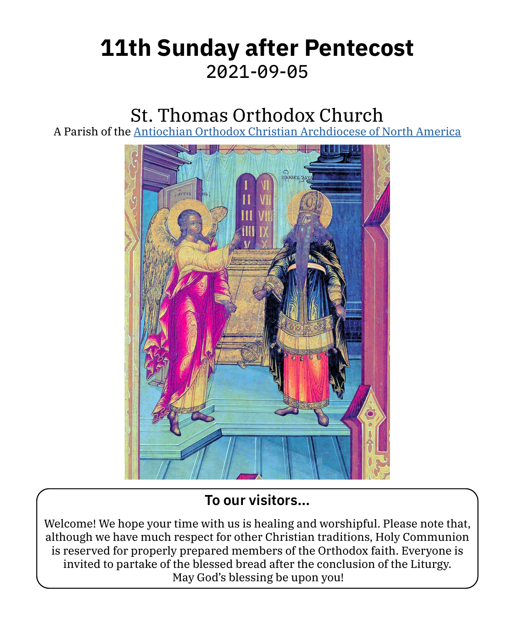# **11th Sunday after Pentecost** 2021-09-05

## St. Thomas Orthodox Church

A Parish of the [Antiochian Orthodox Christian Archdiocese of North America](https://www.antiochian.org)



### **To our visitors…**

Welcome! We hope your time with us is healing and worshipful. Please note that, although we have much respect for other Christian traditions, Holy Communion is reserved for properly prepared members of the Orthodox faith. Everyone is invited to partake of the blessed bread after the conclusion of the Liturgy. May God's blessing be upon you!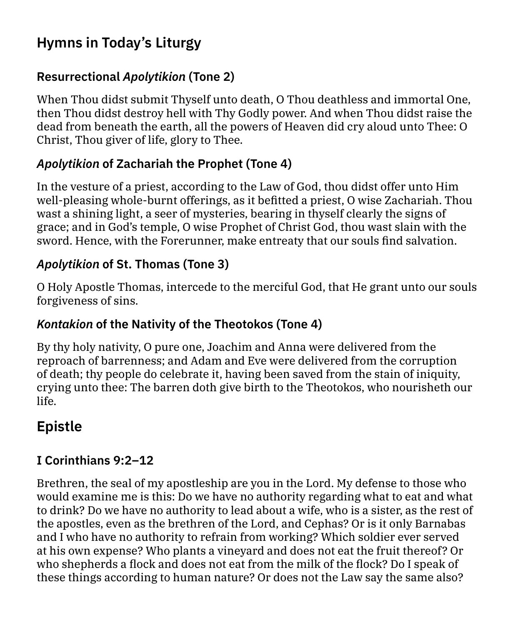## **Hymns in Today's Liturgy**

#### **Resurrectional** *Apolytikion* **(Tone 2)**

When Thou didst submit Thyself unto death, O Thou deathless and immortal One, then Thou didst destroy hell with Thy Godly power. And when Thou didst raise the dead from beneath the earth, all the powers of Heaven did cry aloud unto Thee: O Christ, Thou giver of life, glory to Thee.

#### *Apolytikion* **of Zachariah the Prophet (Tone 4)**

In the vesture of a priest, according to the Law of God, thou didst offer unto Him well-pleasing whole-burnt offerings, as it befitted a priest, O wise Zachariah. Thou wast a shining light, a seer of mysteries, bearing in thyself clearly the signs of grace; and in God's temple, O wise Prophet of Christ God, thou wast slain with the sword. Hence, with the Forerunner, make entreaty that our souls find salvation.

#### *Apolytikion* **of St. Thomas (Tone 3)**

O Holy Apostle Thomas, intercede to the merciful God, that He grant unto our souls forgiveness of sins.

#### *Kontakion* **of the Nativity of the Theotokos (Tone 4)**

By thy holy nativity, O pure one, Joachim and Anna were delivered from the reproach of barrenness; and Adam and Eve were delivered from the corruption of death; thy people do celebrate it, having been saved from the stain of iniquity, crying unto thee: The barren doth give birth to the Theotokos, who nourisheth our life.

## **Epistle**

#### **I Corinthians 9:2–12**

Brethren, the seal of my apostleship are you in the Lord. My defense to those who would examine me is this: Do we have no authority regarding what to eat and what to drink? Do we have no authority to lead about a wife, who is a sister, as the rest of the apostles, even as the brethren of the Lord, and Cephas? Or is it only Barnabas and I who have no authority to refrain from working? Which soldier ever served at his own expense? Who plants a vineyard and does not eat the fruit thereof? Or who shepherds a flock and does not eat from the milk of the flock? Do I speak of these things according to human nature? Or does not the Law say the same also?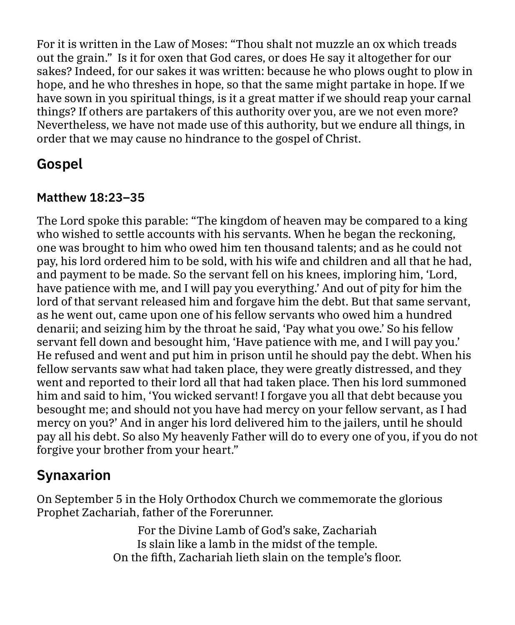For it is written in the Law of Moses: "Thou shalt not muzzle an ox which treads out the grain." Is it for oxen that God cares, or does He say it altogether for our sakes? Indeed, for our sakes it was written: because he who plows ought to plow in hope, and he who threshes in hope, so that the same might partake in hope. If we have sown in you spiritual things, is it a great matter if we should reap your carnal things? If others are partakers of this authority over you, are we not even more? Nevertheless, we have not made use of this authority, but we endure all things, in order that we may cause no hindrance to the gospel of Christ.

## **Gospel**

#### **Matthew 18:23–35**

The Lord spoke this parable: "The kingdom of heaven may be compared to a king who wished to settle accounts with his servants. When he began the reckoning, one was brought to him who owed him ten thousand talents; and as he could not pay, his lord ordered him to be sold, with his wife and children and all that he had, and payment to be made. So the servant fell on his knees, imploring him, 'Lord, have patience with me, and I will pay you everything.' And out of pity for him the lord of that servant released him and forgave him the debt. But that same servant, as he went out, came upon one of his fellow servants who owed him a hundred denarii; and seizing him by the throat he said, 'Pay what you owe.' So his fellow servant fell down and besought him, 'Have patience with me, and I will pay you.' He refused and went and put him in prison until he should pay the debt. When his fellow servants saw what had taken place, they were greatly distressed, and they went and reported to their lord all that had taken place. Then his lord summoned him and said to him, 'You wicked servant! I forgave you all that debt because you besought me; and should not you have had mercy on your fellow servant, as I had mercy on you?' And in anger his lord delivered him to the jailers, until he should pay all his debt. So also My heavenly Father will do to every one of you, if you do not forgive your brother from your heart."

## **Synaxarion**

On September 5 in the Holy Orthodox Church we commemorate the glorious Prophet Zachariah, father of the Forerunner.

> For the Divine Lamb of God's sake, Zachariah Is slain like a lamb in the midst of the temple. On the fifth, Zachariah lieth slain on the temple's floor.